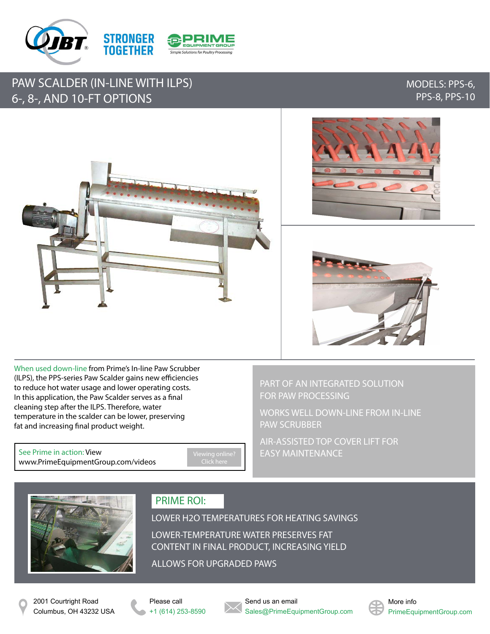

## PAW SCALDER (IN-LINE WITH ILPS) 6-, 8-, AND 10-FT OPTIONS

### MODELS: PPS-6, PPS-8, PPS-10







When used down-line from Prime's In-line Paw Scrubber (ILPS), the PPS-series Paw Scalder gains new efficiencies to reduce hot water usage and lower operating costs. In this application, the Paw Scalder serves as a final cleaning step after the ILPS. Therefore, water temperature in the scalder can be lower, preserving fat and increasing final product weight.

See Prime in action: View [www.PrimeEquipmentGroup.com/videos](http://www.primeequipmentgroup.com/videos) Click here

PART OF AN INTEGRATED SOLUTION FOR PAW PROCESSING

WORKS WELL DOWN-LINE FROM IN-LINE PAW SCRUBBER

AIR-ASSISTED TOP COVER LIFT FOR EASY MAINTENANCE



## PRIME ROI:

LOWER H2O TEMPERATURES FOR HEATING SAVINGS

LOWER-TEMPERATURE WATER PRESERVES FAT CONTENT IN FINAL PRODUCT, INCREASING YIELD

ALLOWS FOR UPGRADED PAWS